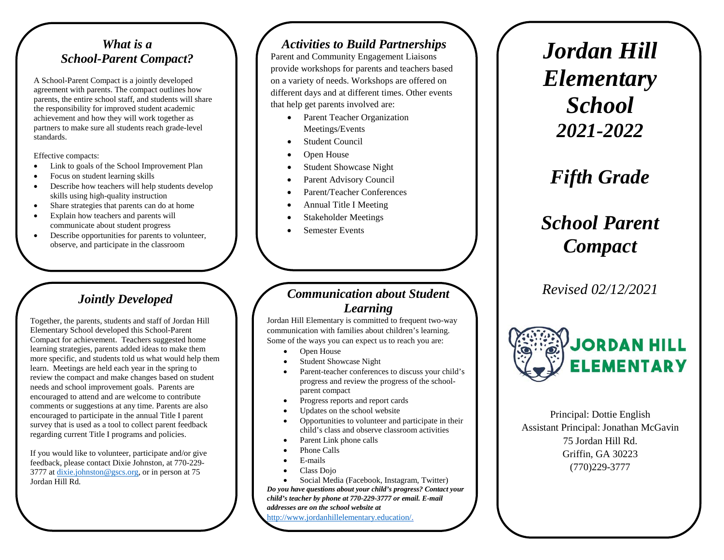#### *What is a School-Parent Compact?*

A School-Parent Compact is a jointly developed agreement with parents. The compact outlines how parents, the entire school staff, and students will share the responsibility for improved student academic achievement and how they will work together as partners to make sure all students reach grade-level standards.

Effective compacts:

- Link to goals of the School Improvement Plan
- Focus on student learning skills
- Describe how teachers will help students develop skills using high-quality instruction
- Share strategies that parents can do at home
- Explain how teachers and parents will communicate about student progress
- Describe opportunities for parents to volunteer, observe, and participate in the classroom

## *Jointly Developed*

Together, the parents, students and staff of Jordan Hill Elementary School developed this School-Parent Compact for achievement. Teachers suggested home learning strategies, parents added ideas to make them more specific, and students told us what would help them learn. Meetings are held each year in the spring to review the compact and make changes based on student needs and school improvement goals. Parents are encouraged to attend and are welcome to contribute comments or suggestions at any time. Parents are also encouraged to participate in the annual Title I parent survey that is used as a tool to collect parent feedback regarding current Title I programs and policies.

If you would like to volunteer, participate and/or give feedback, please contact Dixie Johnston, at 770-229- 3777 at [dixie.johnston@gscs.org,](mailto:dixie.johnston@gscs.org) or in person at 75 Jordan Hill Rd.

#### *Activities to Build Partnerships*

Parent and Community Engagement Liaisons provide workshops for parents and teachers based on a variety of needs. Workshops are offered on different days and at different times. Other events that help get parents involved are:

- Parent Teacher Organization Meetings/Events
- **Student Council**
- Open House
- Student Showcase Night
- Parent Advisory Council
- Parent/Teacher Conferences
- Annual Title I Meeting
- Stakeholder Meetings
- Semester Events

#### *Communication about Student Learning*

Jordan Hill Elementary is committed to frequent two-way communication with families about children's learning. Some of the ways you can expect us to reach you are:

- Open House
- Student Showcase Night
- Parent-teacher conferences to discuss your child's progress and review the progress of the schoolparent compact
- Progress reports and report cards
- Updates on the school website
- Opportunities to volunteer and participate in their child's class and observe classroom activities
- Parent Link phone calls
- Phone Calls
- E-mails
- Class Dojo

• Social Media (Facebook, Instagram, Twitter) *Do you have questions about your child's progress? Contact your child's teacher by phone at 770-229-3777 or email. E-mail addresses are on the school website at*  [http://www.jordanhillelementary.education/.](http://www.jordanhillelementary.education/)

*Jordan Hill Elementary School 2021-2022*

# *Fifth Grade*

# *School Parent Compact*

*Revised 02/12/2021*



Principal: Dottie English Assistant Principal: Jonathan McGavin 75 Jordan Hill Rd. Griffin, GA 30223 (770)229-3777